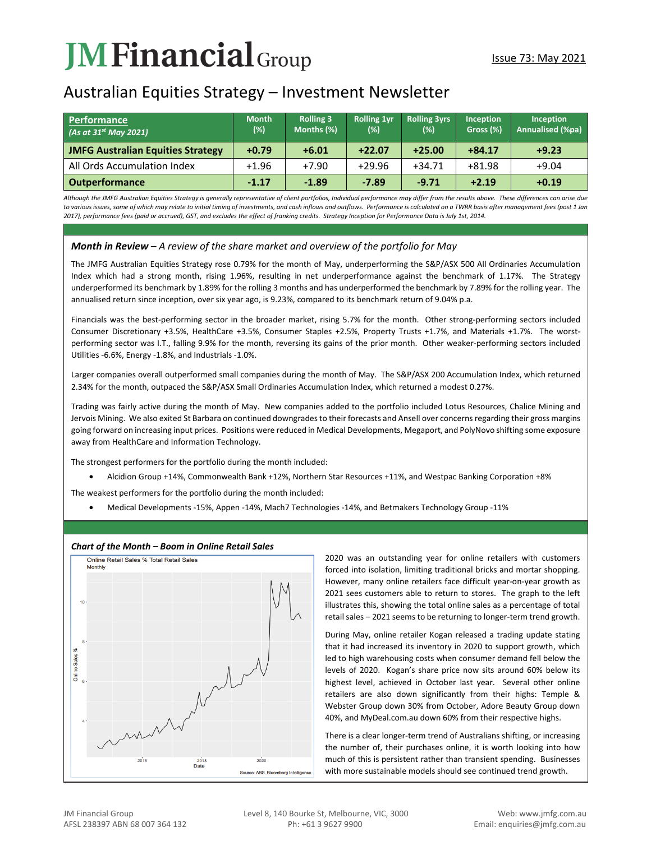# **JM Financial** Group

## Australian Equities Strategy – Investment Newsletter

| l Performance<br>(As at $31^{st}$ May 2021) | <b>Month</b><br>$(\%)$ | <b>Rolling 3</b><br>Months (%) | <b>Rolling 1yr</b><br>(%) | <b>Rolling 3yrs</b><br>(%) | <b>Inception</b><br>Gross (%) | Inception<br><b>Annualised (%pa)</b> |
|---------------------------------------------|------------------------|--------------------------------|---------------------------|----------------------------|-------------------------------|--------------------------------------|
| <b>JMFG Australian Equities Strategy</b>    | $+0.79$                | $+6.01$                        | $+22.07$                  | $+25.00$                   | $+84.17$                      | $+9.23$                              |
| All Ords Accumulation Index                 | $+1.96$                | $+7.90$                        | $+29.96$                  | $+34.71$                   | $+81.98$                      | $+9.04$                              |
| <b>Outperformance</b>                       | $-1.17$                | $-1.89$                        | $-7.89$                   | $-9.71$                    | $+2.19$                       | $+0.19$                              |

*Although the JMFG Australian Equities Strategy is generally representative of client portfolios, Individual performance may differ from the results above. These differences can arise due to various issues, some of which may relate to initial timing of investments, and cash inflows and outflows. Performance is calculated on a TWRR basis after management fees (post 1 Jan 2017), performance fees (paid or accrued), GST, and excludes the effect of franking credits. Strategy Inception for Performance Data is July 1st, 2014.*

### *Month in Review – A review of the share market and overview of the portfolio for May*

The JMFG Australian Equities Strategy rose 0.79% for the month of May, underperforming the S&P/ASX 500 All Ordinaries Accumulation Index which had a strong month, rising 1.96%, resulting in net underperformance against the benchmark of 1.17%. The Strategy underperformed its benchmark by 1.89% for the rolling 3 months and has underperformed the benchmark by 7.89% for the rolling year. The annualised return since inception, over six year ago, is 9.23%, compared to its benchmark return of 9.04% p.a.

Financials was the best-performing sector in the broader market, rising 5.7% for the month. Other strong-performing sectors included Consumer Discretionary +3.5%, HealthCare +3.5%, Consumer Staples +2.5%, Property Trusts +1.7%, and Materials +1.7%. The worstperforming sector was I.T., falling 9.9% for the month, reversing its gains of the prior month. Other weaker-performing sectors included Utilities -6.6%, Energy -1.8%, and Industrials -1.0%.

Larger companies overall outperformed small companies during the month of May. The S&P/ASX 200 Accumulation Index, which returned 2.34% for the month, outpaced the S&P/ASX Small Ordinaries Accumulation Index, which returned a modest 0.27%.

Trading was fairly active during the month of May. New companies added to the portfolio included Lotus Resources, Chalice Mining and Jervois Mining. We also exited St Barbara on continued downgrades to their forecasts and Ansell over concerns regarding their gross margins going forward on increasing input prices. Positions were reduced in Medical Developments, Megaport, and PolyNovo shifting some exposure away from HealthCare and Information Technology.

The strongest performers for the portfolio during the month included:

• Alcidion Group +14%, Commonwealth Bank +12%, Northern Star Resources +11%, and Westpac Banking Corporation +8%

The weakest performers for the portfolio during the month included:

• Medical Developments -15%, Appen -14%, Mach7 Technologies -14%, and Betmakers Technology Group -11%



#### *Chart of the Month – Boom in Online Retail Sales*

2020 was an outstanding year for online retailers with customers forced into isolation, limiting traditional bricks and mortar shopping. However, many online retailers face difficult year-on-year growth as 2021 sees customers able to return to stores. The graph to the left illustrates this, showing the total online sales as a percentage of total retail sales – 2021 seems to be returning to longer-term trend growth.

During May, online retailer Kogan released a trading update stating that it had increased its inventory in 2020 to support growth, which led to high warehousing costs when consumer demand fell below the levels of 2020. Kogan's share price now sits around 60% below its highest level, achieved in October last year. Several other online retailers are also down significantly from their highs: Temple & Webster Group down 30% from October, Adore Beauty Group down 40%, and MyDeal.com.au down 60% from their respective highs.

There is a clear longer-term trend of Australians shifting, or increasing the number of, their purchases online, it is worth looking into how much of this is persistent rather than transient spending. Businesses with more sustainable models should see continued trend growth.